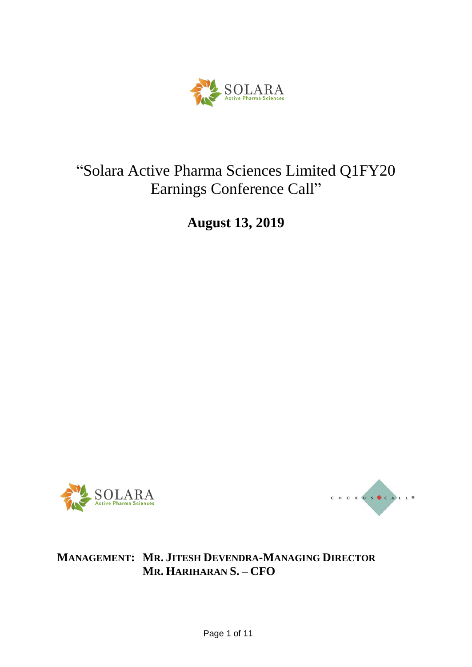

# "Solara Active Pharma Sciences Limited Q1FY20 Earnings Conference Call"

**August 13, 2019**





## **MANAGEMENT: MR. JITESH DEVENDRA-MANAGING DIRECTOR MR. HARIHARAN S. – CFO**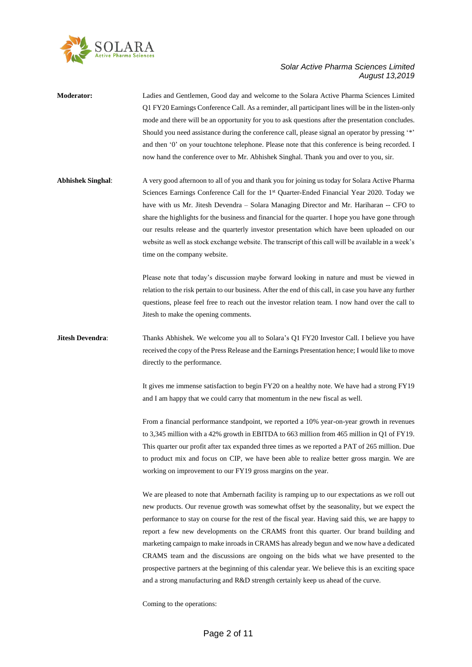

- **Moderator:** Ladies and Gentlemen, Good day and welcome to the Solara Active Pharma Sciences Limited Q1 FY20 Earnings Conference Call. As a reminder, all participant lines will be in the listen-only mode and there will be an opportunity for you to ask questions after the presentation concludes. Should you need assistance during the conference call, please signal an operator by pressing '\*' and then '0' on your touchtone telephone. Please note that this conference is being recorded. I now hand the conference over to Mr. Abhishek Singhal. Thank you and over to you, sir.
- **Abhishek Singhal**: A very good afternoon to all of you and thank you for joining us today for Solara Active Pharma Sciences Earnings Conference Call for the 1<sup>st</sup> Quarter-Ended Financial Year 2020. Today we have with us Mr. Jitesh Devendra – Solara Managing Director and Mr. Hariharan -- CFO to share the highlights for the business and financial for the quarter. I hope you have gone through our results release and the quarterly investor presentation which have been uploaded on our website as well as stock exchange website. The transcript of this call will be available in a week's time on the company website.

Please note that today's discussion maybe forward looking in nature and must be viewed in relation to the risk pertain to our business. After the end of this call, in case you have any further questions, please feel free to reach out the investor relation team. I now hand over the call to Jitesh to make the opening comments.

### **Jitesh Devendra:** Thanks Abhishek. We welcome you all to Solara's Q1 FY20 Investor Call. I believe you have received the copy of the Press Release and the Earnings Presentation hence; I would like to move directly to the performance.

It gives me immense satisfaction to begin FY20 on a healthy note. We have had a strong FY19 and I am happy that we could carry that momentum in the new fiscal as well.

From a financial performance standpoint, we reported a 10% year-on-year growth in revenues to 3,345 million with a 42% growth in EBITDA to 663 million from 465 million in Q1 of FY19. This quarter our profit after tax expanded three times as we reported a PAT of 265 million. Due to product mix and focus on CIP, we have been able to realize better gross margin. We are working on improvement to our FY19 gross margins on the year.

We are pleased to note that Ambernath facility is ramping up to our expectations as we roll out new products. Our revenue growth was somewhat offset by the seasonality, but we expect the performance to stay on course for the rest of the fiscal year. Having said this, we are happy to report a few new developments on the CRAMS front this quarter. Our brand building and marketing campaign to make inroads in CRAMS has already begun and we now have a dedicated CRAMS team and the discussions are ongoing on the bids what we have presented to the prospective partners at the beginning of this calendar year. We believe this is an exciting space and a strong manufacturing and R&D strength certainly keep us ahead of the curve.

Coming to the operations: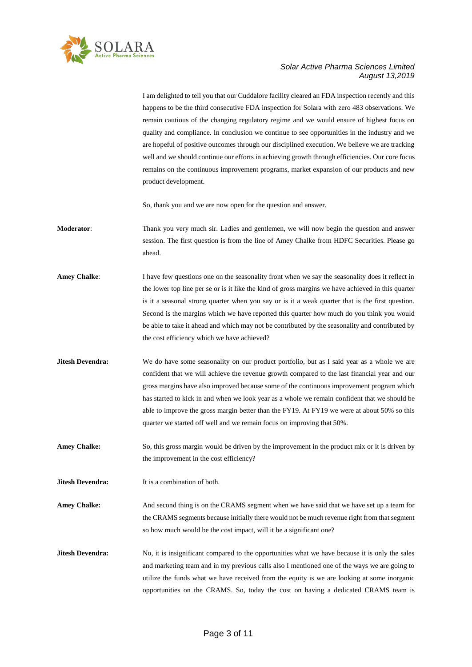

I am delighted to tell you that our Cuddalore facility cleared an FDA inspection recently and this happens to be the third consecutive FDA inspection for Solara with zero 483 observations. We remain cautious of the changing regulatory regime and we would ensure of highest focus on quality and compliance. In conclusion we continue to see opportunities in the industry and we are hopeful of positive outcomes through our disciplined execution. We believe we are tracking well and we should continue our efforts in achieving growth through efficiencies. Our core focus remains on the continuous improvement programs, market expansion of our products and new product development.

So, thank you and we are now open for the question and answer.

- **Moderator**: Thank you very much sir. Ladies and gentlemen, we will now begin the question and answer session. The first question is from the line of Amey Chalke from HDFC Securities. Please go ahead.
- **Amey Chalke:** I have few questions one on the seasonality front when we say the seasonality does it reflect in the lower top line per se or is it like the kind of gross margins we have achieved in this quarter is it a seasonal strong quarter when you say or is it a weak quarter that is the first question. Second is the margins which we have reported this quarter how much do you think you would be able to take it ahead and which may not be contributed by the seasonality and contributed by the cost efficiency which we have achieved?
- **Jitesh Devendra:** We do have some seasonality on our product portfolio, but as I said year as a whole we are confident that we will achieve the revenue growth compared to the last financial year and our gross margins have also improved because some of the continuous improvement program which has started to kick in and when we look year as a whole we remain confident that we should be able to improve the gross margin better than the FY19. At FY19 we were at about 50% so this quarter we started off well and we remain focus on improving that 50%.
- **Amey Chalke:** So, this gross margin would be driven by the improvement in the product mix or it is driven by the improvement in the cost efficiency?

**Jitesh Devendra:** It is a combination of both.

Amey Chalke: And second thing is on the CRAMS segment when we have said that we have set up a team for the CRAMS segments because initially there would not be much revenue right from that segment so how much would be the cost impact, will it be a significant one?

**Jitesh Devendra:** No, it is insignificant compared to the opportunities what we have because it is only the sales and marketing team and in my previous calls also I mentioned one of the ways we are going to utilize the funds what we have received from the equity is we are looking at some inorganic opportunities on the CRAMS. So, today the cost on having a dedicated CRAMS team is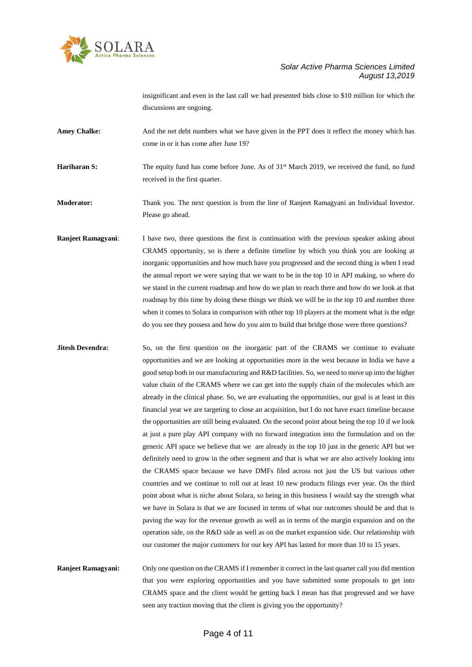

insignificant and even in the last call we had presented bids close to \$10 million for which the discussions are ongoing.

Amey Chalke: And the net debt numbers what we have given in the PPT does it reflect the money which has come in or it has come after June 19?

**Hariharan S:** The equity fund has come before June. As of 31<sup>st</sup> March 2019, we received the fund, no fund received in the first quarter.

**Moderator:** Thank you. The next question is from the line of Ranjeet Ramagyani an Individual Investor. Please go ahead.

**Ranjeet Ramagyani:** I have two, three questions the first is continuation with the previous speaker asking about CRAMS opportunity, so is there a definite timeline by which you think you are looking at inorganic opportunities and how much have you progressed and the second thing is when I read the annual report we were saying that we want to be in the top 10 in API making, so where do we stand in the current roadmap and how do we plan to reach there and how do we look at that roadmap by this time by doing these things we think we will be in the top 10 and number three when it comes to Solara in comparison with other top 10 players at the moment what is the edge do you see they possess and how do you aim to build that bridge those were three questions?

**Jitesh Devendra:** So, on the first question on the inorganic part of the CRAMS we continue to evaluate opportunities and we are looking at opportunities more in the west because in India we have a good setup both in our manufacturing and R&D facilities. So, we need to move up into the higher value chain of the CRAMS where we can get into the supply chain of the molecules which are already in the clinical phase. So, we are evaluating the opportunities, our goal is at least in this financial year we are targeting to close an acquisition, but I do not have exact timeline because the opportunities are still being evaluated. On the second point about being the top 10 if we look at just a pure play API company with no forward integration into the formulation and on the generic API space we believe that we are already in the top 10 just in the generic API but we definitely need to grow in the other segment and that is what we are also actively looking into the CRAMS space because we have DMFs filed across not just the US but various other countries and we continue to roll out at least 10 new products filings ever year. On the third point about what is niche about Solara, so being in this business I would say the strength what we have in Solara is that we are focused in terms of what our outcomes should be and that is paving the way for the revenue growth as well as in terms of the margin expansion and on the operation side, on the R&D side as well as on the market expansion side. Our relationship with our customer the major customers for our key API has lasted for more than 10 to 15 years.

**Ranjeet Ramagyani:** Only one question on the CRAMS if I remember it correct in the last quarter call you did mention that you were exploring opportunities and you have submitted some proposals to get into CRAMS space and the client would be getting back I mean has that progressed and we have seen any traction moving that the client is giving you the opportunity?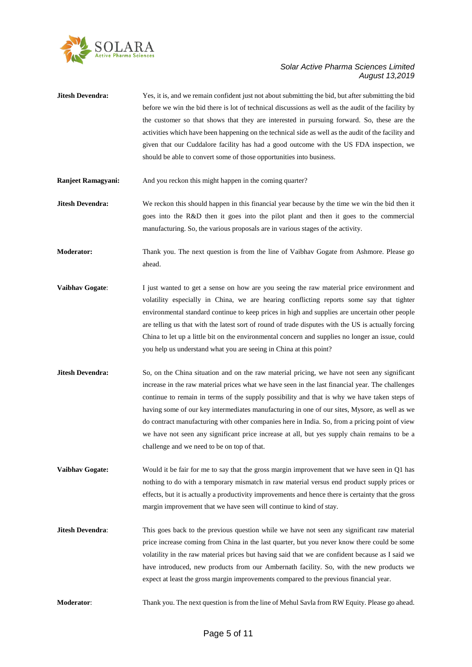

- **Jitesh Devendra:** Yes, it is, and we remain confident just not about submitting the bid, but after submitting the bid before we win the bid there is lot of technical discussions as well as the audit of the facility by the customer so that shows that they are interested in pursuing forward. So, these are the activities which have been happening on the technical side as well as the audit of the facility and given that our Cuddalore facility has had a good outcome with the US FDA inspection, we should be able to convert some of those opportunities into business.
- **Ranjeet Ramagyani:** And you reckon this might happen in the coming quarter?
- **Jitesh Devendra:** We reckon this should happen in this financial year because by the time we win the bid then it goes into the R&D then it goes into the pilot plant and then it goes to the commercial manufacturing. So, the various proposals are in various stages of the activity.
- **Moderator:** Thank you. The next question is from the line of Vaibhav Gogate from Ashmore. Please go ahead.
- **Vaibhav Gogate:** I just wanted to get a sense on how are you seeing the raw material price environment and volatility especially in China, we are hearing conflicting reports some say that tighter environmental standard continue to keep prices in high and supplies are uncertain other people are telling us that with the latest sort of round of trade disputes with the US is actually forcing China to let up a little bit on the environmental concern and supplies no longer an issue, could you help us understand what you are seeing in China at this point?
- **Jitesh Devendra:** So, on the China situation and on the raw material pricing, we have not seen any significant increase in the raw material prices what we have seen in the last financial year. The challenges continue to remain in terms of the supply possibility and that is why we have taken steps of having some of our key intermediates manufacturing in one of our sites, Mysore, as well as we do contract manufacturing with other companies here in India. So, from a pricing point of view we have not seen any significant price increase at all, but yes supply chain remains to be a challenge and we need to be on top of that.
- **Vaibhav Gogate:** Would it be fair for me to say that the gross margin improvement that we have seen in Q1 has nothing to do with a temporary mismatch in raw material versus end product supply prices or effects, but it is actually a productivity improvements and hence there is certainty that the gross margin improvement that we have seen will continue to kind of stay.
- **Jitesh Devendra:** This goes back to the previous question while we have not seen any significant raw material price increase coming from China in the last quarter, but you never know there could be some volatility in the raw material prices but having said that we are confident because as I said we have introduced, new products from our Ambernath facility. So, with the new products we expect at least the gross margin improvements compared to the previous financial year.
- **Moderator:** Thank you. The next question is from the line of Mehul Savla from RW Equity. Please go ahead.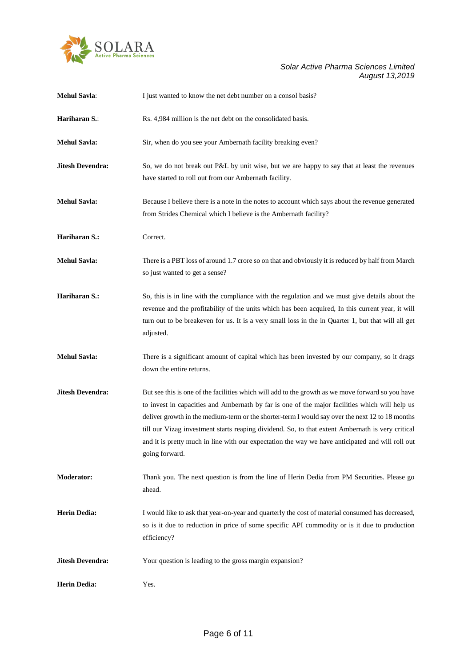

| <b>Mehul Savla:</b>     | I just wanted to know the net debt number on a consol basis?                                                                                                                                                                                                                                                                                                                                                                                                                                                                     |
|-------------------------|----------------------------------------------------------------------------------------------------------------------------------------------------------------------------------------------------------------------------------------------------------------------------------------------------------------------------------------------------------------------------------------------------------------------------------------------------------------------------------------------------------------------------------|
| Hariharan S.:           | Rs. 4,984 million is the net debt on the consolidated basis.                                                                                                                                                                                                                                                                                                                                                                                                                                                                     |
| <b>Mehul Savla:</b>     | Sir, when do you see your Ambernath facility breaking even?                                                                                                                                                                                                                                                                                                                                                                                                                                                                      |
| <b>Jitesh Devendra:</b> | So, we do not break out P&L by unit wise, but we are happy to say that at least the revenues<br>have started to roll out from our Ambernath facility.                                                                                                                                                                                                                                                                                                                                                                            |
| <b>Mehul Savla:</b>     | Because I believe there is a note in the notes to account which says about the revenue generated<br>from Strides Chemical which I believe is the Ambernath facility?                                                                                                                                                                                                                                                                                                                                                             |
| Hariharan S.:           | Correct.                                                                                                                                                                                                                                                                                                                                                                                                                                                                                                                         |
| <b>Mehul Savla:</b>     | There is a PBT loss of around 1.7 crore so on that and obviously it is reduced by half from March<br>so just wanted to get a sense?                                                                                                                                                                                                                                                                                                                                                                                              |
| Hariharan S.:           | So, this is in line with the compliance with the regulation and we must give details about the<br>revenue and the profitability of the units which has been acquired, In this current year, it will<br>turn out to be breakeven for us. It is a very small loss in the in Quarter 1, but that will all get<br>adjusted.                                                                                                                                                                                                          |
| <b>Mehul Savla:</b>     | There is a significant amount of capital which has been invested by our company, so it drags<br>down the entire returns.                                                                                                                                                                                                                                                                                                                                                                                                         |
| <b>Jitesh Devendra:</b> | But see this is one of the facilities which will add to the growth as we move forward so you have<br>to invest in capacities and Ambernath by far is one of the major facilities which will help us<br>deliver growth in the medium-term or the shorter-term I would say over the next 12 to 18 months<br>till our Vizag investment starts reaping dividend. So, to that extent Ambernath is very critical<br>and it is pretty much in line with our expectation the way we have anticipated and will roll out<br>going forward. |
| <b>Moderator:</b>       | Thank you. The next question is from the line of Herin Dedia from PM Securities. Please go<br>ahead.                                                                                                                                                                                                                                                                                                                                                                                                                             |
| <b>Herin Dedia:</b>     | I would like to ask that year-on-year and quarterly the cost of material consumed has decreased,<br>so is it due to reduction in price of some specific API commodity or is it due to production<br>efficiency?                                                                                                                                                                                                                                                                                                                  |
| <b>Jitesh Devendra:</b> | Your question is leading to the gross margin expansion?                                                                                                                                                                                                                                                                                                                                                                                                                                                                          |
| <b>Herin Dedia:</b>     | Yes.                                                                                                                                                                                                                                                                                                                                                                                                                                                                                                                             |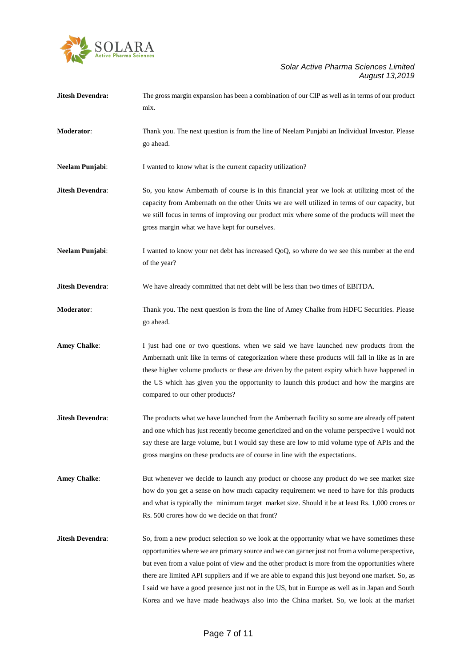

| <b>Jitesh Devendra:</b> | The gross margin expansion has been a combination of our CIP as well as in terms of our product<br>mix.                                                                                                                                                                                                                                                                                                                                                                                                                                                                                         |
|-------------------------|-------------------------------------------------------------------------------------------------------------------------------------------------------------------------------------------------------------------------------------------------------------------------------------------------------------------------------------------------------------------------------------------------------------------------------------------------------------------------------------------------------------------------------------------------------------------------------------------------|
| Moderator:              | Thank you. The next question is from the line of Neelam Punjabi an Individual Investor. Please<br>go ahead.                                                                                                                                                                                                                                                                                                                                                                                                                                                                                     |
| Neelam Punjabi:         | I wanted to know what is the current capacity utilization?                                                                                                                                                                                                                                                                                                                                                                                                                                                                                                                                      |
| Jitesh Devendra:        | So, you know Ambernath of course is in this financial year we look at utilizing most of the<br>capacity from Ambernath on the other Units we are well utilized in terms of our capacity, but<br>we still focus in terms of improving our product mix where some of the products will meet the<br>gross margin what we have kept for ourselves.                                                                                                                                                                                                                                                  |
| Neelam Punjabi:         | I wanted to know your net debt has increased QoQ, so where do we see this number at the end<br>of the year?                                                                                                                                                                                                                                                                                                                                                                                                                                                                                     |
| Jitesh Devendra:        | We have already committed that net debt will be less than two times of EBITDA.                                                                                                                                                                                                                                                                                                                                                                                                                                                                                                                  |
| Moderator:              | Thank you. The next question is from the line of Amey Chalke from HDFC Securities. Please<br>go ahead.                                                                                                                                                                                                                                                                                                                                                                                                                                                                                          |
| <b>Amey Chalke:</b>     | I just had one or two questions, when we said we have launched new products from the<br>Ambernath unit like in terms of categorization where these products will fall in like as in are<br>these higher volume products or these are driven by the patent expiry which have happened in<br>the US which has given you the opportunity to launch this product and how the margins are<br>compared to our other products?                                                                                                                                                                         |
| Jitesh Devendra:        | The products what we have launched from the Ambernath facility so some are already off patent<br>and one which has just recently become genericized and on the volume perspective I would not<br>say these are large volume, but I would say these are low to mid volume type of APIs and the<br>gross margins on these products are of course in line with the expectations.                                                                                                                                                                                                                   |
| <b>Amey Chalke:</b>     | But whenever we decide to launch any product or choose any product do we see market size<br>how do you get a sense on how much capacity requirement we need to have for this products<br>and what is typically the minimum target market size. Should it be at least Rs. 1,000 crores or<br>Rs. 500 crores how do we decide on that front?                                                                                                                                                                                                                                                      |
| Jitesh Devendra:        | So, from a new product selection so we look at the opportunity what we have sometimes these<br>opportunities where we are primary source and we can garner just not from a volume perspective,<br>but even from a value point of view and the other product is more from the opportunities where<br>there are limited API suppliers and if we are able to expand this just beyond one market. So, as<br>I said we have a good presence just not in the US, but in Europe as well as in Japan and South<br>Korea and we have made headways also into the China market. So, we look at the market |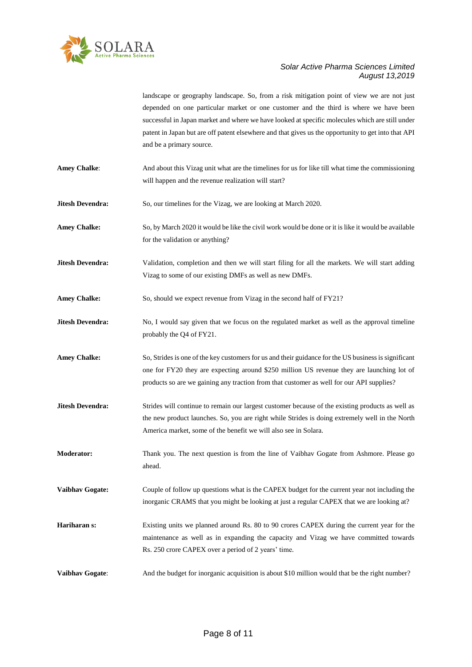

landscape or geography landscape. So, from a risk mitigation point of view we are not just depended on one particular market or one customer and the third is where we have been successful in Japan market and where we have looked at specific molecules which are still under patent in Japan but are off patent elsewhere and that gives us the opportunity to get into that API and be a primary source.

**Amey Chalke**: And about this Vizag unit what are the timelines for us for like till what time the commissioning will happen and the revenue realization will start?

**Jitesh Devendra:** So, our timelines for the Vizag, we are looking at March 2020.

Amey Chalke: So, by March 2020 it would be like the civil work would be done or it is like it would be available for the validation or anything?

**Jitesh Devendra:** Validation, completion and then we will start filing for all the markets. We will start adding Vizag to some of our existing DMFs as well as new DMFs.

Amey Chalke: So, should we expect revenue from Vizag in the second half of FY21?

**Jitesh Devendra:** No, I would say given that we focus on the regulated market as well as the approval timeline probably the Q4 of FY21.

**Amey Chalke:** So, Strides is one of the key customers for us and their guidance for the US business is significant one for FY20 they are expecting around \$250 million US revenue they are launching lot of products so are we gaining any traction from that customer as well for our API supplies?

- **Jitesh Devendra:** Strides will continue to remain our largest customer because of the existing products as well as the new product launches. So, you are right while Strides is doing extremely well in the North America market, some of the benefit we will also see in Solara.
- **Moderator:** Thank you. The next question is from the line of Vaibhav Gogate from Ashmore. Please go ahead.

**Vaibhav Gogate:** Couple of follow up questions what is the CAPEX budget for the current year not including the inorganic CRAMS that you might be looking at just a regular CAPEX that we are looking at?

**Hariharan s:** Existing units we planned around Rs. 80 to 90 crores CAPEX during the current year for the maintenance as well as in expanding the capacity and Vizag we have committed towards Rs. 250 crore CAPEX over a period of 2 years' time.

**Vaibhav Gogate:** And the budget for inorganic acquisition is about \$10 million would that be the right number?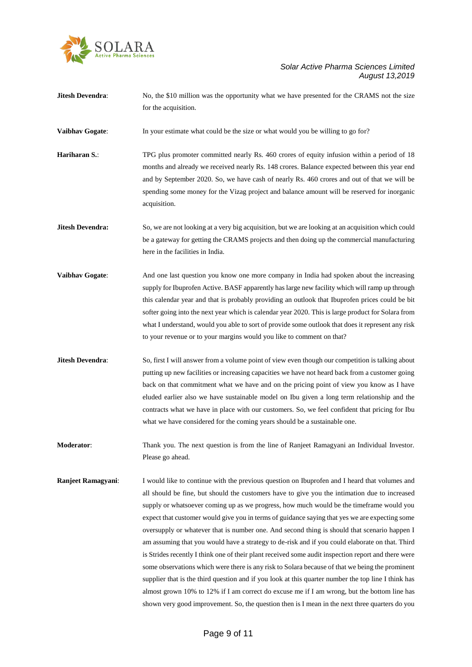

**Jitesh Devendra:** No, the \$10 million was the opportunity what we have presented for the CRAMS not the size for the acquisition.

**Vaibhav Gogate:** In your estimate what could be the size or what would you be willing to go for?

**Hariharan S.:** TPG plus promoter committed nearly Rs. 460 crores of equity infusion within a period of 18 months and already we received nearly Rs. 148 crores. Balance expected between this year end and by September 2020. So, we have cash of nearly Rs. 460 crores and out of that we will be spending some money for the Vizag project and balance amount will be reserved for inorganic acquisition.

**Jitesh Devendra:** So, we are not looking at a very big acquisition, but we are looking at an acquisition which could be a gateway for getting the CRAMS projects and then doing up the commercial manufacturing here in the facilities in India.

- **Vaibhav Gogate:** And one last question you know one more company in India had spoken about the increasing supply for Ibuprofen Active. BASF apparently has large new facility which will ramp up through this calendar year and that is probably providing an outlook that Ibuprofen prices could be bit softer going into the next year which is calendar year 2020. This is large product for Solara from what I understand, would you able to sort of provide some outlook that does it represent any risk to your revenue or to your margins would you like to comment on that?
- **Jitesh Devendra:** So, first I will answer from a volume point of view even though our competition is talking about putting up new facilities or increasing capacities we have not heard back from a customer going back on that commitment what we have and on the pricing point of view you know as I have eluded earlier also we have sustainable model on Ibu given a long term relationship and the contracts what we have in place with our customers. So, we feel confident that pricing for Ibu what we have considered for the coming years should be a sustainable one.
- **Moderator**: Thank you. The next question is from the line of Ranjeet Ramagyani an Individual Investor. Please go ahead.
- **Ranjeet Ramagyani**: I would like to continue with the previous question on Ibuprofen and I heard that volumes and all should be fine, but should the customers have to give you the intimation due to increased supply or whatsoever coming up as we progress, how much would be the timeframe would you expect that customer would give you in terms of guidance saying that yes we are expecting some oversupply or whatever that is number one. And second thing is should that scenario happen I am assuming that you would have a strategy to de-risk and if you could elaborate on that. Third is Strides recently I think one of their plant received some audit inspection report and there were some observations which were there is any risk to Solara because of that we being the prominent supplier that is the third question and if you look at this quarter number the top line I think has almost grown 10% to 12% if I am correct do excuse me if I am wrong, but the bottom line has shown very good improvement. So, the question then is I mean in the next three quarters do you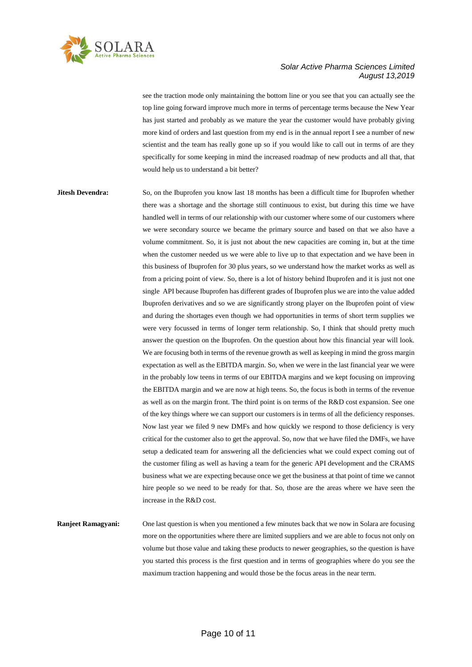

see the traction mode only maintaining the bottom line or you see that you can actually see the top line going forward improve much more in terms of percentage terms because the New Year has just started and probably as we mature the year the customer would have probably giving more kind of orders and last question from my end is in the annual report I see a number of new scientist and the team has really gone up so if you would like to call out in terms of are they specifically for some keeping in mind the increased roadmap of new products and all that, that would help us to understand a bit better?

**Jitesh Devendra:** So, on the Ibuprofen you know last 18 months has been a difficult time for Ibuprofen whether there was a shortage and the shortage still continuous to exist, but during this time we have handled well in terms of our relationship with our customer where some of our customers where we were secondary source we became the primary source and based on that we also have a volume commitment. So, it is just not about the new capacities are coming in, but at the time when the customer needed us we were able to live up to that expectation and we have been in this business of Ibuprofen for 30 plus years, so we understand how the market works as well as from a pricing point of view. So, there is a lot of history behind Ibuprofen and it is just not one single API because Ibuprofen has different grades of Ibuprofen plus we are into the value added Ibuprofen derivatives and so we are significantly strong player on the Ibuprofen point of view and during the shortages even though we had opportunities in terms of short term supplies we were very focussed in terms of longer term relationship. So, I think that should pretty much answer the question on the Ibuprofen. On the question about how this financial year will look. We are focusing both in terms of the revenue growth as well as keeping in mind the gross margin expectation as well as the EBITDA margin. So, when we were in the last financial year we were in the probably low teens in terms of our EBITDA margins and we kept focusing on improving the EBITDA margin and we are now at high teens. So, the focus is both in terms of the revenue as well as on the margin front. The third point is on terms of the R&D cost expansion. See one of the key things where we can support our customers is in terms of all the deficiency responses. Now last year we filed 9 new DMFs and how quickly we respond to those deficiency is very critical for the customer also to get the approval. So, now that we have filed the DMFs, we have setup a dedicated team for answering all the deficiencies what we could expect coming out of the customer filing as well as having a team for the generic API development and the CRAMS business what we are expecting because once we get the business at that point of time we cannot hire people so we need to be ready for that. So, those are the areas where we have seen the increase in the R&D cost.

**Ranjeet Ramagyani:** One last question is when you mentioned a few minutes back that we now in Solara are focusing more on the opportunities where there are limited suppliers and we are able to focus not only on volume but those value and taking these products to newer geographies, so the question is have you started this process is the first question and in terms of geographies where do you see the maximum traction happening and would those be the focus areas in the near term.